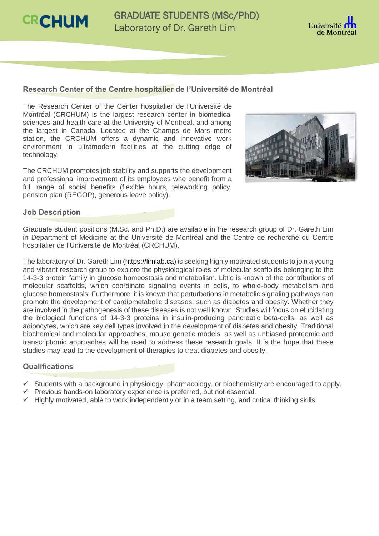**CRCHUM** 

GRADUATE STUDENTS (MSc/PhD) Laboratory of Dr. Gareth Lim



# **Research Center of the Centre hospitalier de l'Université de Montréal**

The Research Center of the Center hospitalier de l'Université de Montréal (CRCHUM) is the largest research center in biomedical sciences and health care at the University of Montreal, and among the largest in Canada. Located at the Champs de Mars metro station, the CRCHUM offers a dynamic and innovative work environment in ultramodern facilities at the cutting edge of technology.

The CRCHUM promotes job stability and supports the development and professional improvement of its employees who benefit from a full range of social benefits (flexible hours, teleworking policy, pension plan (REGOP), generous leave policy).



### **Job Description**

Graduate student positions (M.Sc. and Ph.D.) are available in the research group of Dr. Gareth Lim in Department of Medicine at the Université de Montréal and the Centre de recherché du Centre hospitalier de l'Université de Montréal (CRCHUM).

The laboratory of Dr. Gareth Lim [\(https://limlab.ca\)](https://sites.google.com/view/limlab/home) is seeking highly motivated students to join a young and vibrant research group to explore the physiological roles of molecular scaffolds belonging to the 14-3-3 protein family in glucose homeostasis and metabolism. Little is known of the contributions of molecular scaffolds, which coordinate signaling events in cells, to whole-body metabolism and glucose homeostasis. Furthermore, it is known that perturbations in metabolic signaling pathways can promote the development of cardiometabolic diseases, such as diabetes and obesity. Whether they are involved in the pathogenesis of these diseases is not well known. Studies will focus on elucidating the biological functions of 14-3-3 proteins in insulin-producing pancreatic beta-cells, as well as adipocytes, which are key cell types involved in the development of diabetes and obesity. Traditional biochemical and molecular approaches, mouse genetic models, as well as unbiased proteomic and transcriptomic approaches will be used to address these research goals. It is the hope that these studies may lead to the development of therapies to treat diabetes and obesity.

# **Qualifications**

- $\checkmark$  Students with a background in physiology, pharmacology, or biochemistry are encouraged to apply.
- $\checkmark$  Previous hands-on laboratory experience is preferred, but not essential.
- $\checkmark$  Highly motivated, able to work independently or in a team setting, and critical thinking skills